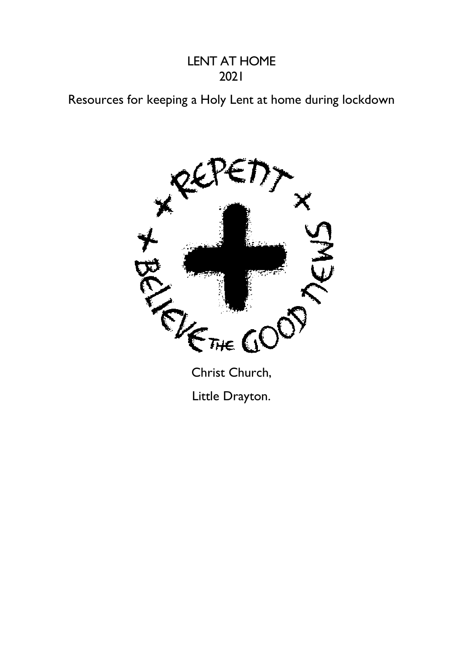#### LENT AT HOME 2021

# Resources for keeping a Holy Lent at home during lockdown



Christ Church, Little Drayton.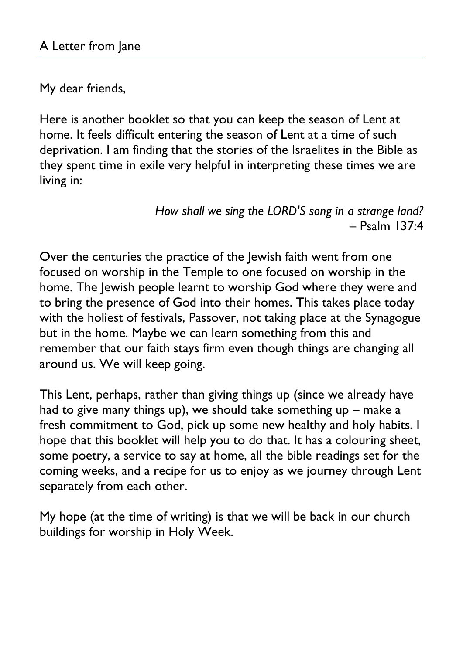My dear friends,

Here is another booklet so that you can keep the season of Lent at home. It feels difficult entering the season of Lent at a time of such deprivation. I am finding that the stories of the Israelites in the Bible as they spent time in exile very helpful in interpreting these times we are living in:

> *How shall we sing the LORD'S song in a strange land?* – Psalm 137:4

Over the centuries the practice of the Jewish faith went from one focused on worship in the Temple to one focused on worship in the home. The Jewish people learnt to worship God where they were and to bring the presence of God into their homes. This takes place today with the holiest of festivals, Passover, not taking place at the Synagogue but in the home. Maybe we can learn something from this and remember that our faith stays firm even though things are changing all around us. We will keep going.

This Lent, perhaps, rather than giving things up (since we already have had to give many things up), we should take something up – make a fresh commitment to God, pick up some new healthy and holy habits. I hope that this booklet will help you to do that. It has a colouring sheet, some poetry, a service to say at home, all the bible readings set for the coming weeks, and a recipe for us to enjoy as we journey through Lent separately from each other.

My hope (at the time of writing) is that we will be back in our church buildings for worship in Holy Week.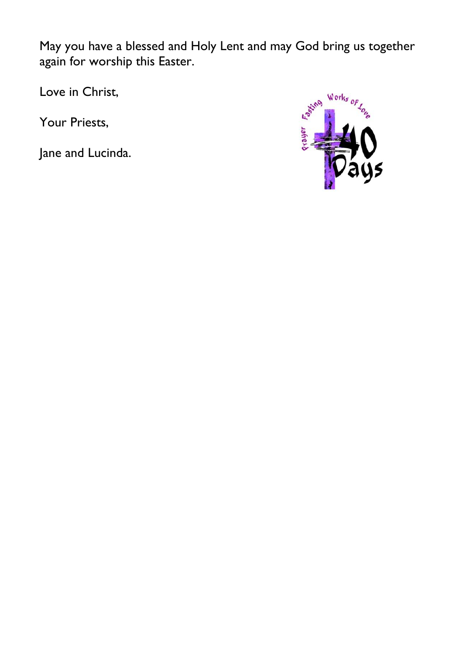May you have a blessed and Holy Lent and may God bring us together again for worship this Easter.

Love in Christ,

Your Priests,

Jane and Lucinda.

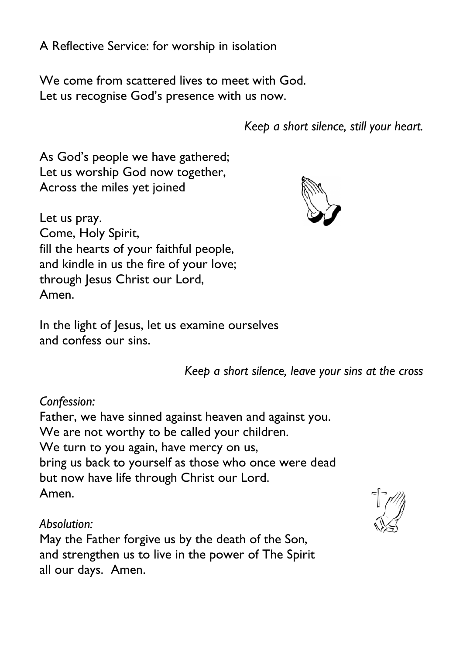We come from scattered lives to meet with God. Let us recognise God's presence with us now.

*Keep a short silence, still your heart.*

As God"s people we have gathered; Let us worship God now together, Across the miles yet joined



Let us pray. Come, Holy Spirit, fill the hearts of your faithful people, and kindle in us the fire of your love; through Jesus Christ our Lord, Amen.

In the light of Jesus, let us examine ourselves and confess our sins.

*Keep a short silence, leave your sins at the cross*

*Confession:*

Father, we have sinned against heaven and against you. We are not worthy to be called your children. We turn to you again, have mercy on us, bring us back to yourself as those who once were dead but now have life through Christ our Lord. Amen.

#### *Absolution:*

May the Father forgive us by the death of the Son, and strengthen us to live in the power of The Spirit all our days. Amen.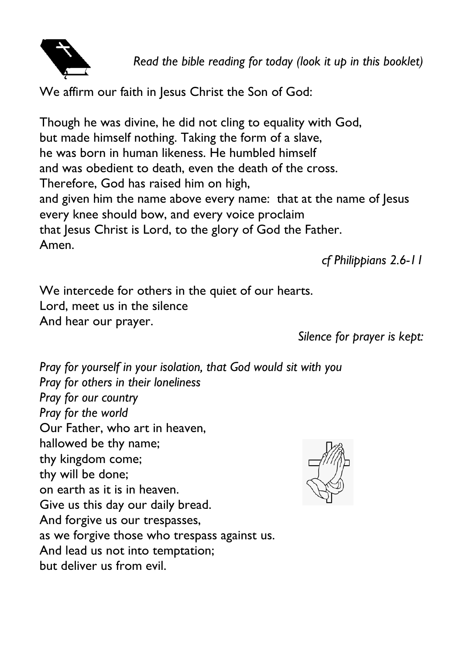

*Read the bible reading for today (look it up in this booklet)*

We affirm our faith in Jesus Christ the Son of God:

Though he was divine, he did not cling to equality with God, but made himself nothing. Taking the form of a slave, he was born in human likeness. He humbled himself and was obedient to death, even the death of the cross. Therefore, God has raised him on high, and given him the name above every name: that at the name of lesus every knee should bow, and every voice proclaim that Jesus Christ is Lord, to the glory of God the Father. Amen.

*cf Philippians 2.6-11*

We intercede for others in the quiet of our hearts. Lord, meet us in the silence And hear our prayer.

*Silence for prayer is kept:*

*Pray for yourself in your isolation, that God would sit with you Pray for others in their loneliness Pray for our country Pray for the world* Our Father, who art in heaven, hallowed be thy name; thy kingdom come; thy will be done; on earth as it is in heaven. Give us this day our daily bread. And forgive us our trespasses, as we forgive those who trespass against us. And lead us not into temptation; but deliver us from evil.

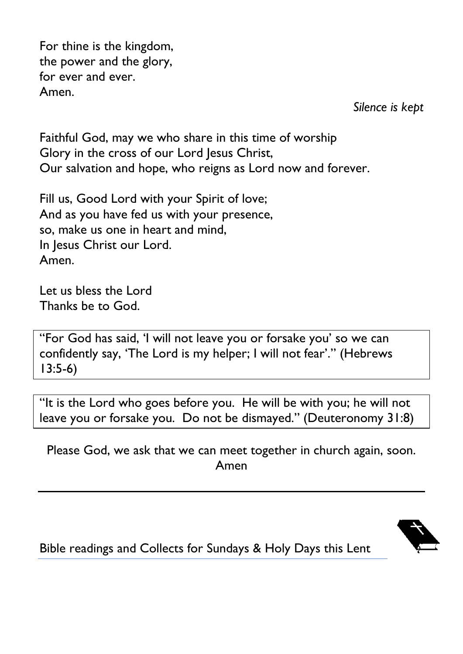For thine is the kingdom, the power and the glory, for ever and ever. Amen.

*Silence is kept*

Faithful God, may we who share in this time of worship Glory in the cross of our Lord Jesus Christ, Our salvation and hope, who reigns as Lord now and forever.

Fill us, Good Lord with your Spirit of love; And as you have fed us with your presence, so, make us one in heart and mind, In Jesus Christ our Lord. Amen.

Let us bless the Lord Thanks be to God.

"For God has said, "I will not leave you or forsake you" so we can confidently say, 'The Lord is my helper; I will not fear'." (Hebrews 13:5-6)

"It is the Lord who goes before you. He will be with you; he will not leave you or forsake you. Do not be dismayed." (Deuteronomy 31:8)

Please God, we ask that we can meet together in church again, soon. Amen



Bible readings and Collects for Sundays & Holy Days this Lent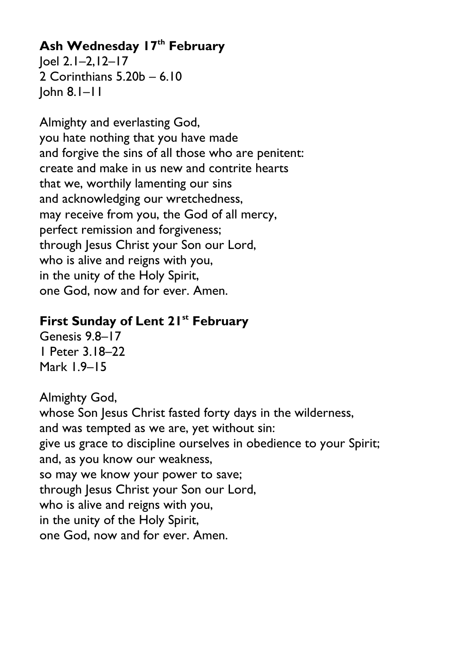# **Ash Wednesday 17th February**

Joel 2.1–2,12–17 2 Corinthians 5.20b – 6.10 John 8.1–11

Almighty and everlasting God, you hate nothing that you have made and forgive the sins of all those who are penitent: create and make in us new and contrite hearts that we, worthily lamenting our sins and acknowledging our wretchedness, may receive from you, the God of all mercy, perfect remission and forgiveness; through Jesus Christ your Son our Lord, who is alive and reigns with you, in the unity of the Holy Spirit, one God, now and for ever. Amen.

#### **First Sunday of Lent 21st February**

Genesis 9.8–17 1 Peter 3.18–22 Mark 1.9–15

Almighty God, whose Son Jesus Christ fasted forty days in the wilderness, and was tempted as we are, yet without sin: give us grace to discipline ourselves in obedience to your Spirit; and, as you know our weakness, so may we know your power to save; through Jesus Christ your Son our Lord, who is alive and reigns with you, in the unity of the Holy Spirit, one God, now and for ever. Amen.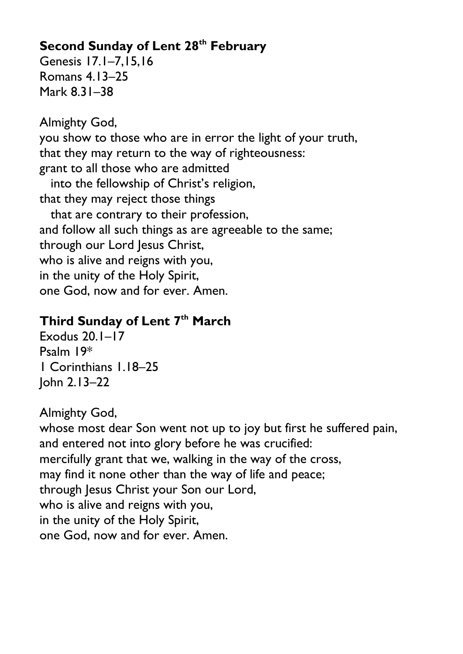# **Second Sunday of Lent 28th February**

Genesis 17.1–7,15,16 Romans 4.13–25 Mark 8.31–38

Almighty God, you show to those who are in error the light of your truth, that they may return to the way of righteousness: grant to all those who are admitted into the fellowship of Christ's religion, that they may reject those things that are contrary to their profession, and follow all such things as are agreeable to the same; through our Lord Jesus Christ, who is alive and reigns with you, in the unity of the Holy Spirit, one God, now and for ever. Amen.

## **Third Sunday of Lent 7th March**

Exodus 20.1–17 Psalm 19\* 1 Corinthians 1.18–25 John 2.13–22

Almighty God,

whose most dear Son went not up to joy but first he suffered pain, and entered not into glory before he was crucified: mercifully grant that we, walking in the way of the cross, may find it none other than the way of life and peace; through Jesus Christ your Son our Lord, who is alive and reigns with you, in the unity of the Holy Spirit, one God, now and for ever. Amen.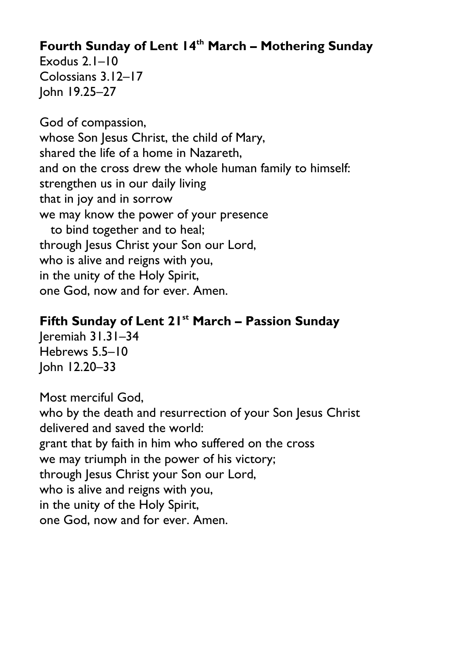# **Fourth Sunday of Lent 14th March – Mothering Sunday**

Exodus 2.1–10 Colossians 3.12–17 John 19.25–27

God of compassion, whose Son Jesus Christ, the child of Mary, shared the life of a home in Nazareth, and on the cross drew the whole human family to himself: strengthen us in our daily living that in joy and in sorrow we may know the power of your presence to bind together and to heal; through Jesus Christ your Son our Lord, who is alive and reigns with you, in the unity of the Holy Spirit, one God, now and for ever. Amen.

#### **Fifth Sunday of Lent 21st March – Passion Sunday** Jeremiah 31.31–34

Hebrews 5.5–10 John 12.20–33

Most merciful God, who by the death and resurrection of your Son Jesus Christ delivered and saved the world: grant that by faith in him who suffered on the cross we may triumph in the power of his victory; through Jesus Christ your Son our Lord, who is alive and reigns with you, in the unity of the Holy Spirit, one God, now and for ever. Amen.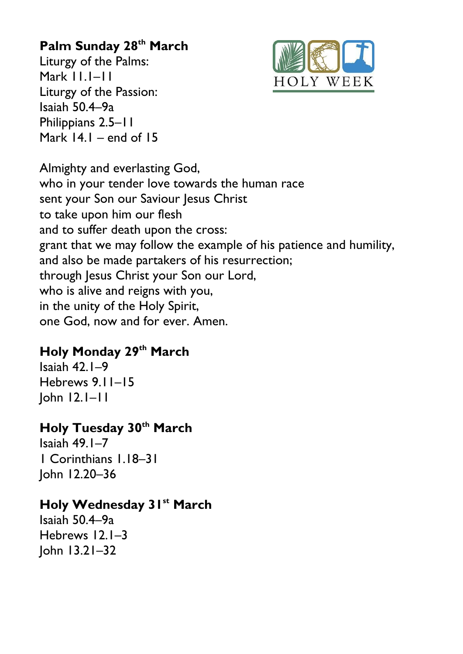# **Palm Sunday 28th March**

Liturgy of the Palms: Mark 11.1–11 Liturgy of the Passion: Isaiah 50.4–9a Philippians 2.5–11 Mark  $14.1$  – end of  $15$ 



Almighty and everlasting God, who in your tender love towards the human race sent your Son our Saviour Jesus Christ to take upon him our flesh and to suffer death upon the cross: grant that we may follow the example of his patience and humility, and also be made partakers of his resurrection; through Jesus Christ your Son our Lord, who is alive and reigns with you, in the unity of the Holy Spirit, one God, now and for ever. Amen.

# **Holy Monday 29th March**

Isaiah 42.1–9 Hebrews 9.11–15 John 12.1–11

## **Holy Tuesday 30th March**

Isaiah 49.1–7 1 Corinthians 1.18–31 John 12.20–36

## **Holy Wednesday 31st March**

Isaiah 50.4–9a Hebrews 12.1–3 John 13.21–32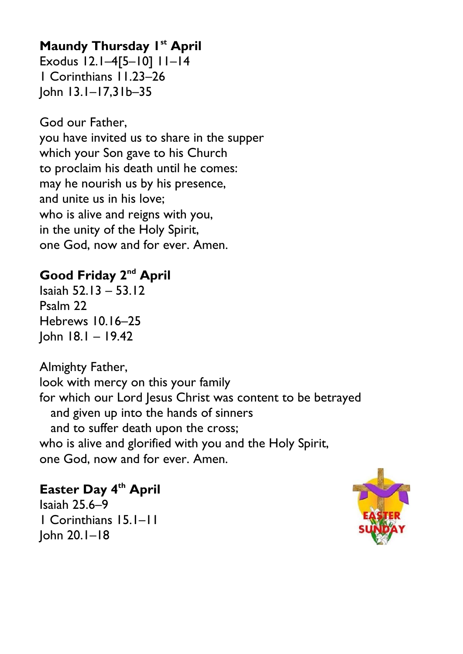## **Maundy Thursday 1st April**

Exodus 12.1–4[5–10] 11–14 1 Corinthians 11.23–26 John 13.1–17,31b–35

God our Father, you have invited us to share in the supper which your Son gave to his Church to proclaim his death until he comes: may he nourish us by his presence, and unite us in his love; who is alive and reigns with you, in the unity of the Holy Spirit, one God, now and for ever. Amen.

## **Good Friday 2nd April**

Isaiah 52.13 – 53.12 Psalm 22 Hebrews 10.16–25 John 18.1 – 19.42

Almighty Father, look with mercy on this your family for which our Lord Jesus Christ was content to be betrayed and given up into the hands of sinners and to suffer death upon the cross; who is alive and glorified with you and the Holy Spirit, one God, now and for ever. Amen.

#### **Easter Day 4th April**

Isaiah 25.6–9 1 Corinthians 15.1–11 John 20.1–18

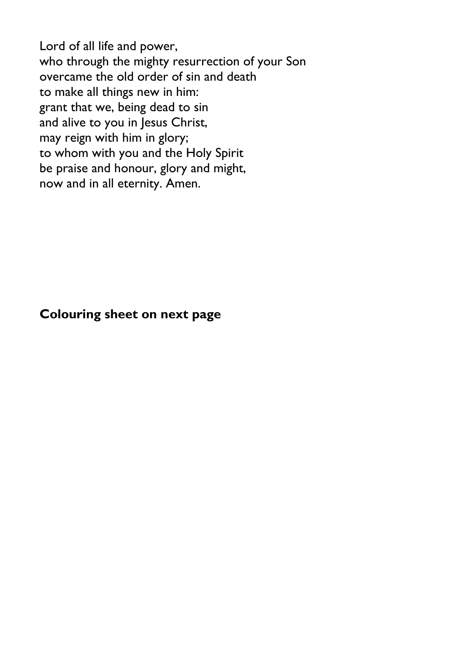Lord of all life and power, who through the mighty resurrection of your Son overcame the old order of sin and death to make all things new in him: grant that we, being dead to sin and alive to you in Jesus Christ, may reign with him in glory; to whom with you and the Holy Spirit be praise and honour, glory and might, now and in all eternity. Amen.

#### **Colouring sheet on next page**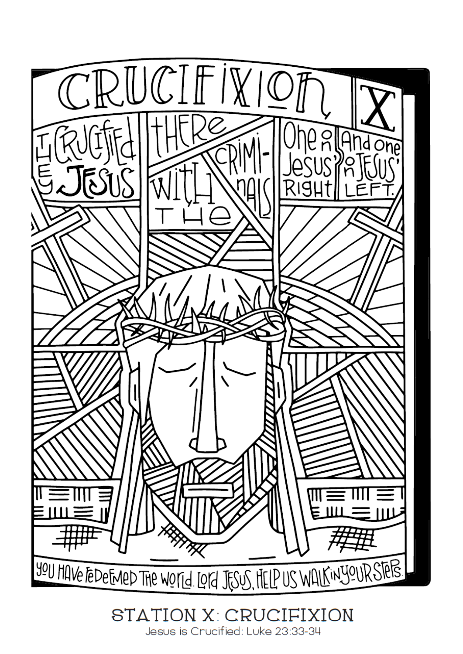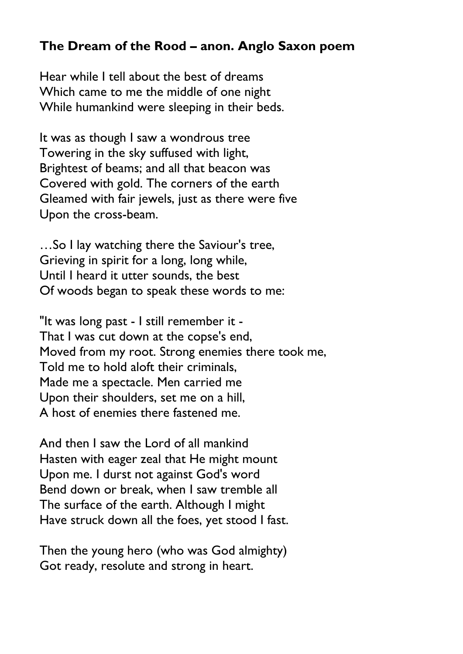#### **The Dream of the Rood – anon. Anglo Saxon poem**

Hear while I tell about the best of dreams Which came to me the middle of one night While humankind were sleeping in their beds.

It was as though I saw a wondrous tree Towering in the sky suffused with light, Brightest of beams; and all that beacon was Covered with gold. The corners of the earth Gleamed with fair jewels, just as there were five Upon the cross-beam.

…So I lay watching there the Saviour's tree, Grieving in spirit for a long, long while, Until I heard it utter sounds, the best Of woods began to speak these words to me:

"It was long past - I still remember it - That I was cut down at the copse's end, Moved from my root. Strong enemies there took me, Told me to hold aloft their criminals, Made me a spectacle. Men carried me Upon their shoulders, set me on a hill, A host of enemies there fastened me.

And then I saw the Lord of all mankind Hasten with eager zeal that He might mount Upon me. I durst not against God's word Bend down or break, when I saw tremble all The surface of the earth. Although I might Have struck down all the foes, yet stood I fast.

Then the young hero (who was God almighty) Got ready, resolute and strong in heart.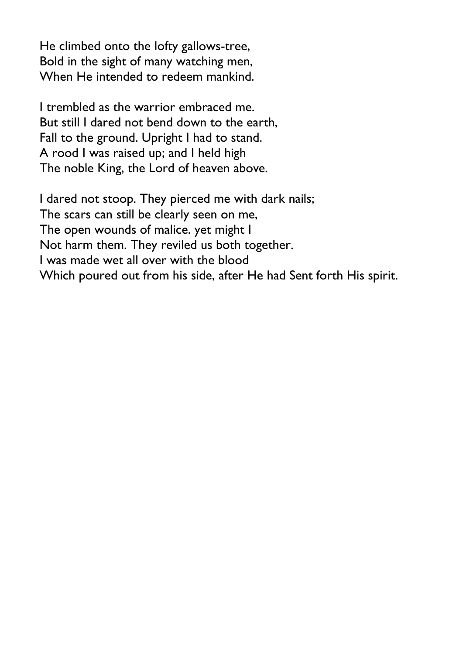He climbed onto the lofty gallows-tree, Bold in the sight of many watching men, When He intended to redeem mankind.

I trembled as the warrior embraced me. But still I dared not bend down to the earth, Fall to the ground. Upright I had to stand. A rood I was raised up; and I held high The noble King, the Lord of heaven above.

I dared not stoop. They pierced me with dark nails; The scars can still be clearly seen on me, The open wounds of malice. yet might I Not harm them. They reviled us both together. I was made wet all over with the blood Which poured out from his side, after He had Sent forth His spirit.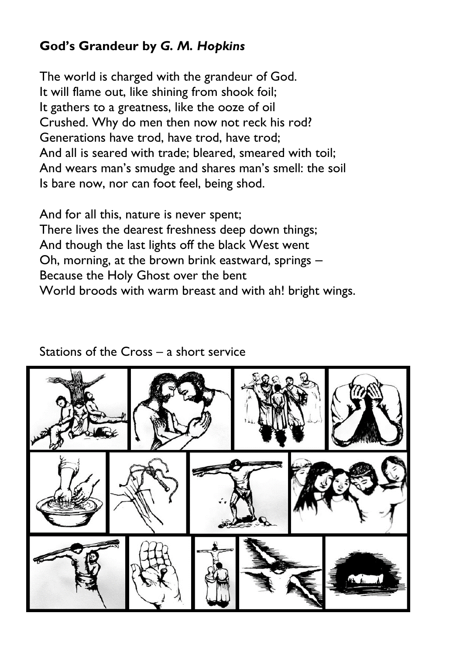## **God's Grandeur by** *G. M. Hopkins*

The world is charged with the grandeur of God. It will flame out, like shining from shook foil; It gathers to a greatness, like the ooze of oil Crushed. Why do men then now not reck his rod? Generations have trod, have trod, have trod; And all is seared with trade; bleared, smeared with toil; And wears man's smudge and shares man's smell: the soil Is bare now, nor can foot feel, being shod.

And for all this, nature is never spent; There lives the dearest freshness deep down things; And though the last lights off the black West went Oh, morning, at the brown brink eastward, springs – Because the Holy Ghost over the bent World broods with warm breast and with ah! bright wings.

#### Stations of the Cross – a short service

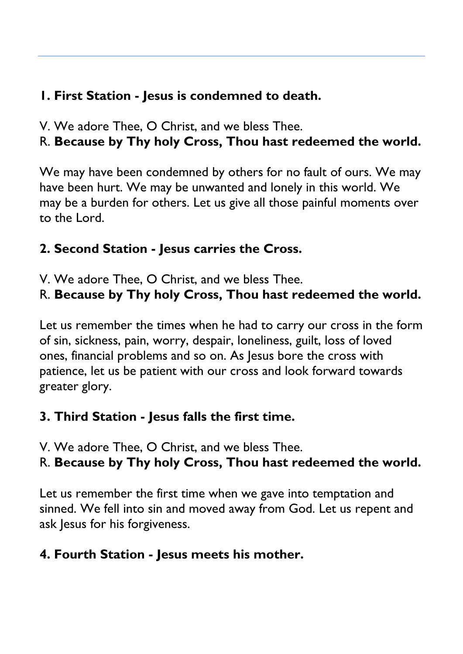# **1. First Station - Jesus is condemned to death.**

V. We adore Thee, O Christ, and we bless Thee.

# R. **Because by Thy holy Cross, Thou hast redeemed the world.**

We may have been condemned by others for no fault of ours. We may have been hurt. We may be unwanted and lonely in this world. We may be a burden for others. Let us give all those painful moments over to the Lord.

# **2. Second Station - Jesus carries the Cross.**

V. We adore Thee, O Christ, and we bless Thee.

# R. **Because by Thy holy Cross, Thou hast redeemed the world.**

Let us remember the times when he had to carry our cross in the form of sin, sickness, pain, worry, despair, loneliness, guilt, loss of loved ones, financial problems and so on. As Jesus bore the cross with patience, let us be patient with our cross and look forward towards greater glory.

# **3. Third Station - Jesus falls the first time.**

V. We adore Thee, O Christ, and we bless Thee.

# R. **Because by Thy holy Cross, Thou hast redeemed the world.**

Let us remember the first time when we gave into temptation and sinned. We fell into sin and moved away from God. Let us repent and ask Jesus for his forgiveness.

# **4. Fourth Station - Jesus meets his mother.**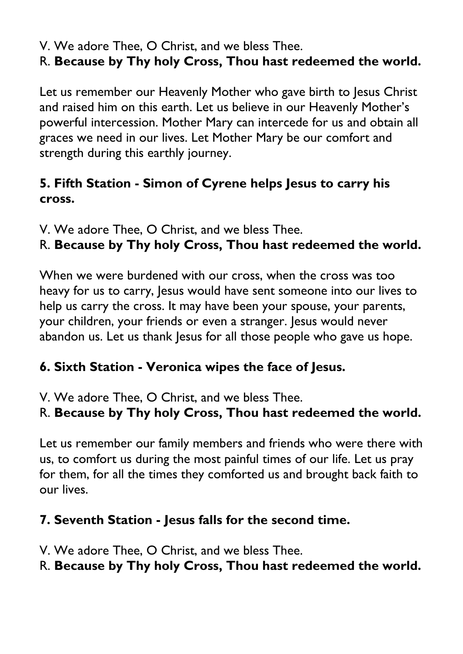V. We adore Thee, O Christ, and we bless Thee.

# R. **Because by Thy holy Cross, Thou hast redeemed the world.**

Let us remember our Heavenly Mother who gave birth to Jesus Christ and raised him on this earth. Let us believe in our Heavenly Mother"s powerful intercession. Mother Mary can intercede for us and obtain all graces we need in our lives. Let Mother Mary be our comfort and strength during this earthly journey.

# **5. Fifth Station - Simon of Cyrene helps Jesus to carry his cross.**

V. We adore Thee, O Christ, and we bless Thee.

# R. **Because by Thy holy Cross, Thou hast redeemed the world.**

When we were burdened with our cross, when the cross was too heavy for us to carry, Jesus would have sent someone into our lives to help us carry the cross. It may have been your spouse, your parents, your children, your friends or even a stranger. Jesus would never abandon us. Let us thank Jesus for all those people who gave us hope.

# **6. Sixth Station - Veronica wipes the face of Jesus.**

V. We adore Thee, O Christ, and we bless Thee.

# R. **Because by Thy holy Cross, Thou hast redeemed the world.**

Let us remember our family members and friends who were there with us, to comfort us during the most painful times of our life. Let us pray for them, for all the times they comforted us and brought back faith to our lives.

# **7. Seventh Station - Jesus falls for the second time.**

V. We adore Thee, O Christ, and we bless Thee.

# R. **Because by Thy holy Cross, Thou hast redeemed the world.**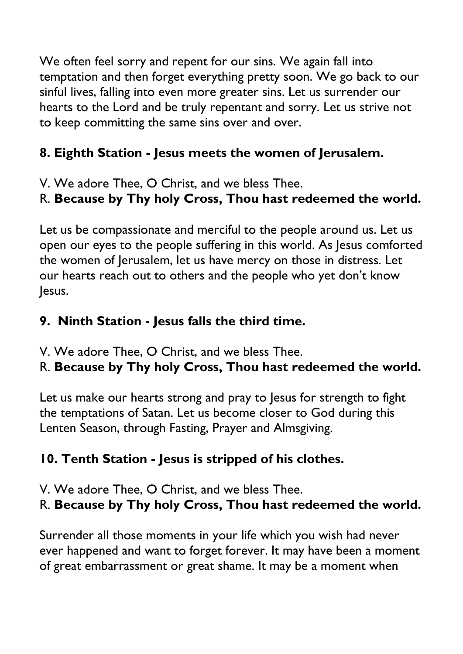We often feel sorry and repent for our sins. We again fall into temptation and then forget everything pretty soon. We go back to our sinful lives, falling into even more greater sins. Let us surrender our hearts to the Lord and be truly repentant and sorry. Let us strive not to keep committing the same sins over and over.

# **8. Eighth Station - Jesus meets the women of Jerusalem.**

V. We adore Thee, O Christ, and we bless Thee.

# R. **Because by Thy holy Cross, Thou hast redeemed the world.**

Let us be compassionate and merciful to the people around us. Let us open our eyes to the people suffering in this world. As Jesus comforted the women of Jerusalem, let us have mercy on those in distress. Let our hearts reach out to others and the people who yet don"t know Jesus.

# **9. Ninth Station - Jesus falls the third time.**

V. We adore Thee, O Christ, and we bless Thee.

# R. **Because by Thy holy Cross, Thou hast redeemed the world.**

Let us make our hearts strong and pray to lesus for strength to fight the temptations of Satan. Let us become closer to God during this Lenten Season, through Fasting, Prayer and Almsgiving.

# **10. Tenth Station - Jesus is stripped of his clothes.**

V. We adore Thee, O Christ, and we bless Thee.

R. **Because by Thy holy Cross, Thou hast redeemed the world.**

Surrender all those moments in your life which you wish had never ever happened and want to forget forever. It may have been a moment of great embarrassment or great shame. It may be a moment when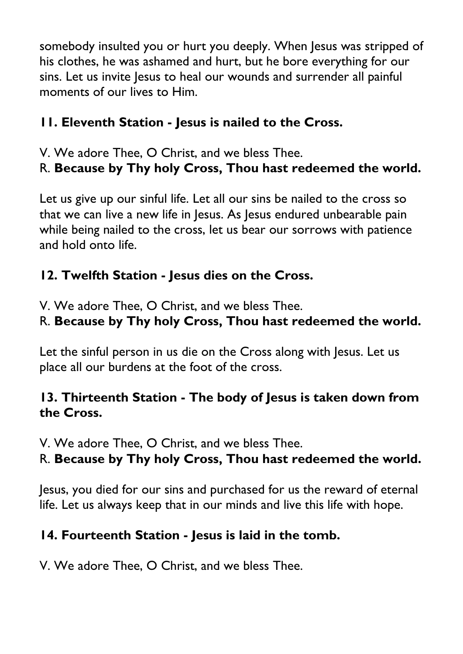somebody insulted you or hurt you deeply. When Jesus was stripped of his clothes, he was ashamed and hurt, but he bore everything for our sins. Let us invite Jesus to heal our wounds and surrender all painful moments of our lives to Him.

# **11. Eleventh Station - Jesus is nailed to the Cross.**

V. We adore Thee, O Christ, and we bless Thee.

# R. **Because by Thy holy Cross, Thou hast redeemed the world.**

Let us give up our sinful life. Let all our sins be nailed to the cross so that we can live a new life in Jesus. As Jesus endured unbearable pain while being nailed to the cross, let us bear our sorrows with patience and hold onto life.

# **12. Twelfth Station - Jesus dies on the Cross.**

V. We adore Thee, O Christ, and we bless Thee.

# R. **Because by Thy holy Cross, Thou hast redeemed the world.**

Let the sinful person in us die on the Cross along with Jesus. Let us place all our burdens at the foot of the cross.

# **13. Thirteenth Station - The body of Jesus is taken down from the Cross.**

V. We adore Thee, O Christ, and we bless Thee.

# R. **Because by Thy holy Cross, Thou hast redeemed the world.**

Jesus, you died for our sins and purchased for us the reward of eternal life. Let us always keep that in our minds and live this life with hope.

# **14. Fourteenth Station - Jesus is laid in the tomb.**

V. We adore Thee, O Christ, and we bless Thee.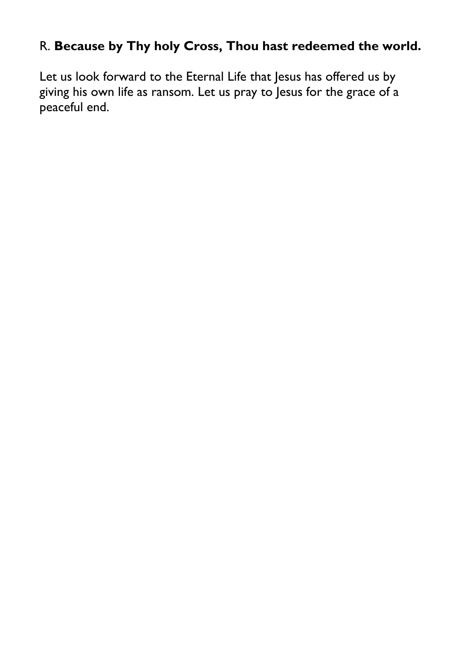## R. **Because by Thy holy Cross, Thou hast redeemed the world.**

Let us look forward to the Eternal Life that Jesus has offered us by giving his own life as ransom. Let us pray to Jesus for the grace of a peaceful end.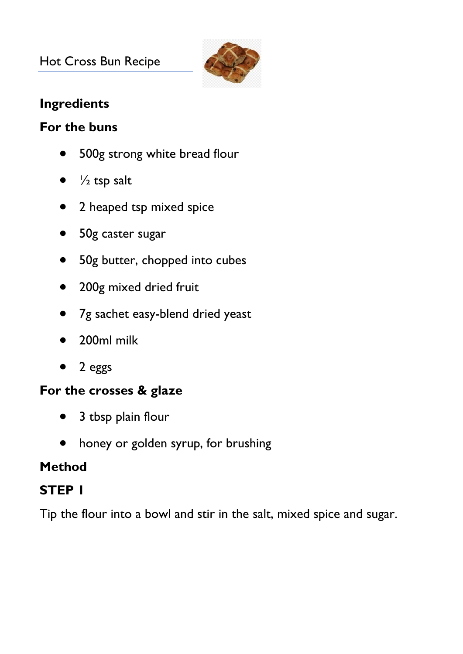## Hot Cross Bun Recipe



#### **Ingredients**

#### **For the buns**

- 500g strong white bread flour
- $\bullet$  /<sub>2</sub> tsp salt
- 2 heaped tsp mixed spice
- 50g caster sugar
- 50g butter, chopped into cubes
- 200g mixed dried fruit
- 7g sachet easy-blend dried yeast
- 200ml milk
- 2 eggs

#### **For the crosses & glaze**

- 3 tbsp plain flour
- honey or golden syrup, for brushing

# **Method**

# **STEP 1**

Tip the flour into a bowl and stir in the salt, mixed spice and sugar.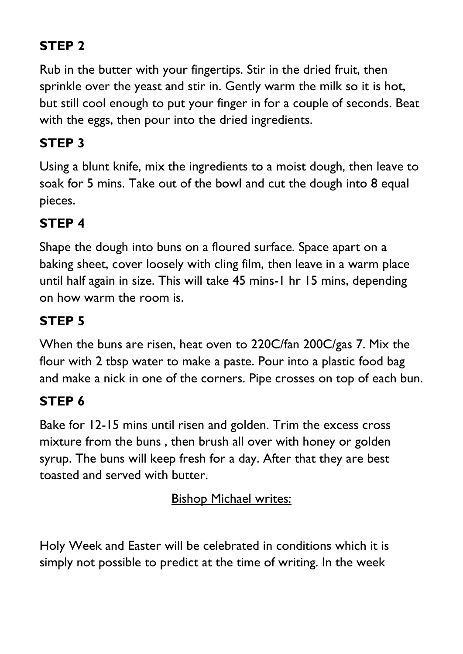# **STEP 2**

Rub in the butter with your fingertips. Stir in the dried fruit, then sprinkle over the yeast and stir in. Gently warm the milk so it is hot, but still cool enough to put your finger in for a couple of seconds. Beat with the eggs, then pour into the dried ingredients.

# **STEP 3**

Using a blunt knife, mix the ingredients to a moist dough, then leave to soak for 5 mins. Take out of the bowl and cut the dough into 8 equal pieces.

# **STEP 4**

Shape the dough into buns on a floured surface. Space apart on a baking sheet, cover loosely with cling film, then leave in a warm place until half again in size. This will take 45 mins-1 hr 15 mins, depending on how warm the room is.

# **STEP 5**

When the buns are risen, heat oven to 220C/fan 200C/gas 7. Mix the flour with 2 tbsp water to make a paste. Pour into a plastic food bag and make a nick in one of the corners. Pipe crosses on top of each bun.

# **STEP 6**

Bake for 12-15 mins until risen and golden. Trim the excess cross mixture from the buns , then brush all over with honey or golden syrup. The buns will keep fresh for a day. After that they are best toasted and served with butter.

**Bishop Michael writes:** 

Holy Week and Easter will be celebrated in conditions which it is simply not possible to predict at the time of writing. In the week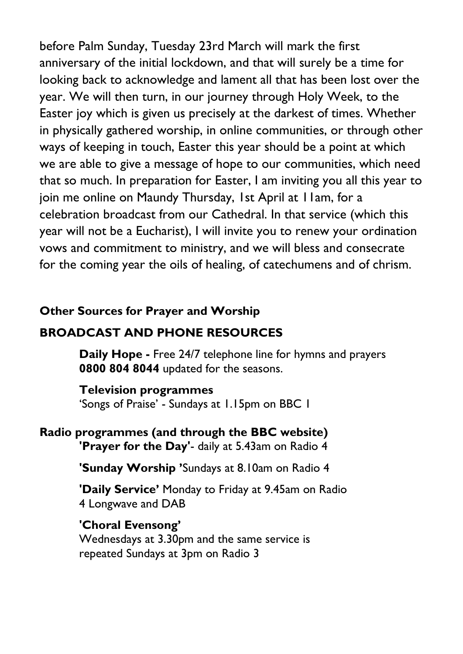before Palm Sunday, Tuesday 23rd March will mark the first anniversary of the initial lockdown, and that will surely be a time for looking back to acknowledge and lament all that has been lost over the year. We will then turn, in our journey through Holy Week, to the Easter joy which is given us precisely at the darkest of times. Whether in physically gathered worship, in online communities, or through other ways of keeping in touch, Easter this year should be a point at which we are able to give a message of hope to our communities, which need that so much. In preparation for Easter, I am inviting you all this year to join me online on Maundy Thursday, 1st April at 11am, for a celebration broadcast from our Cathedral. In that service (which this year will not be a Eucharist), I will invite you to renew your ordination vows and commitment to ministry, and we will bless and consecrate for the coming year the oils of healing, of catechumens and of chrism.

#### **Other Sources for Prayer and Worship**

#### **BROADCAST AND PHONE RESOURCES**

**Daily Hope -** Free 24/7 telephone line for hymns and prayers **0800 804 8044** updated for the seasons.

#### **Television programmes**

"Songs of Praise" - Sundays at 1.15pm on BBC 1

#### **Radio programmes (and through the BBC website) 'Prayer for the Day'**- daily at 5.43am on Radio 4

**'Sunday Worship '**Sundays at 8.10am on Radio 4

**'Daily Service'** Monday to Friday at 9.45am on Radio 4 Longwave and DAB

**'Choral Evensong'** Wednesdays at 3.30pm and the same service is repeated Sundays at 3pm on Radio 3